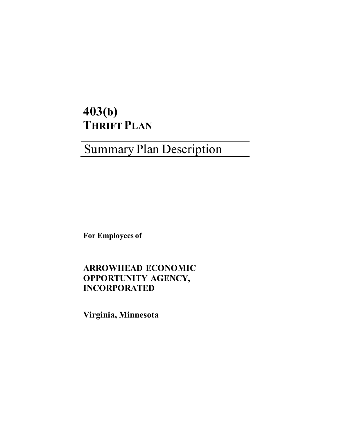# **403(b) THRIFT PLAN**

# Summary Plan Description

**For Employees of**

# **ARROWHEAD ECONOMIC OPPORTUNITY AGENCY, INCORPORATED**

**Virginia, Minnesota**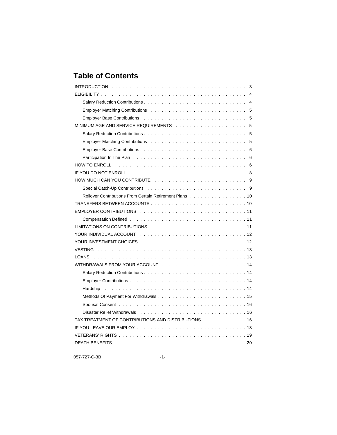# **Table of Contents**

| 3                                                       |
|---------------------------------------------------------|
| $\overline{4}$                                          |
| $\overline{4}$                                          |
| 5                                                       |
| 5                                                       |
| 5                                                       |
| 5                                                       |
| 5                                                       |
| 6                                                       |
| 6                                                       |
| 6                                                       |
| 8                                                       |
| 9                                                       |
|                                                         |
| Rollover Contributions From Certain Retirement Plans 10 |
|                                                         |
|                                                         |
|                                                         |
|                                                         |
|                                                         |
|                                                         |
|                                                         |
| <b>LOANS</b>                                            |
|                                                         |
|                                                         |
|                                                         |
| Hardship                                                |
|                                                         |
|                                                         |
|                                                         |
| TAX TREATMENT OF CONTRIBUTIONS AND DISTRIBUTIONS 16     |
|                                                         |
|                                                         |
|                                                         |

057-727-C-3B -1-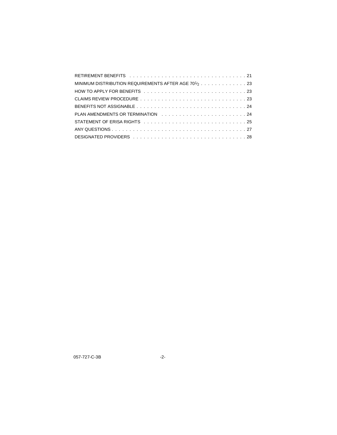| MINIMUM DISTRIBUTION REQUIREMENTS AFTER AGE 701/2 23 |
|------------------------------------------------------|
|                                                      |
|                                                      |
|                                                      |
|                                                      |
|                                                      |
|                                                      |
|                                                      |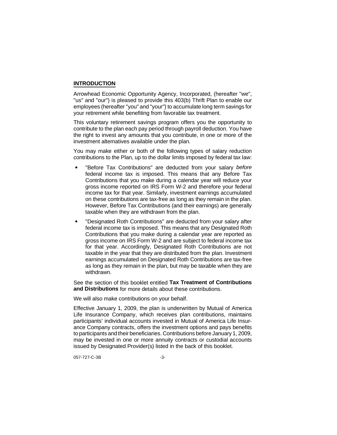# **INTRODUCTION**

Arrowhead Economic Opportunity Agency, Incorporated, (hereafter "we", "us" and "our") is pleased to provide this 403(b) Thrift Plan to enable our employees (hereafter "you" and "your") to accumulate long term savings for your retirement while benefiting from favorable tax treatment.

This voluntary retirement savings program offers you the opportunity to contribute to the plan each pay period through payroll deduction. You have the right to invest any amounts that you contribute, in one or more of the investment alternatives available under the plan.

You may make either or both of the following types of salary reduction contributions to the Plan, up to the dollar limits imposed by federal tax law:

- "Before Tax Contributions" are deducted from your salary *before* federal income tax is imposed. This means that any Before Tax Contributions that you make during a calendar year will reduce your gross income reported on IRS Form W-2 and therefore your federal income tax for that year. Similarly, investment earnings accumulated on these contributions are tax-free as long as they remain in the plan. However, Before Tax Contributions (and their earnings) are generally taxable when they are withdrawn from the plan.
- "Designated Roth Contributions" are deducted from your salary after federal income tax is imposed. This means that any Designated Roth Contributions that you make during a calendar year are reported as gross income on IRS Form W-2 and are subject to federal income tax for that year. Accordingly, Designated Roth Contributions are not taxable in the year that they are distributed from the plan. Investment earnings accumulated on Designated Roth Contributions are tax-free as long as they remain in the plan, but may be taxable when they are withdrawn.

See the section of this booklet entitled **Tax Treatment of Contributions and Distributions** for more details about these contributions.

We will also make contributions on your behalf.

Effective January 1, 2009, the plan is underwritten by Mutual of America Life Insurance Company, which receives plan contributions, maintains participants' individual accounts invested in Mutual of America Life Insurance Company contracts, offers the investment options and pays benefits to participants and their beneficiaries. Contributions before January 1, 2009, may be invested in one or more annuity contracts or custodial accounts issued by Designated Provider(s) listed in the back of this booklet.

057-727-C-3B -3-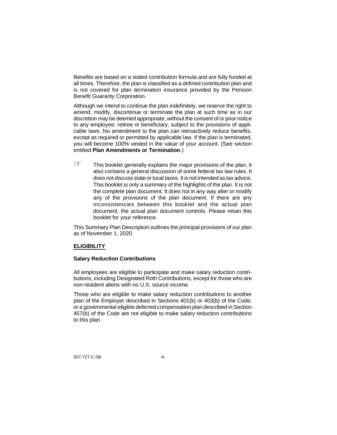Benefits are based on a stated contribution formula and are fully funded at all times. Therefore, the plan is classified as a defined contribution plan and is not covered for plan termination insurance provided by the Pension Benefit Guaranty Corporation.

Although we intend to continue the plan indefinitely, we reserve the right to amend, modify, discontinue or terminate the plan at such time as in our discretion may be deemed appropriate, without the consent of or prior notice to any employee, retiree or beneficiary, subject to the provisions of applicable laws. No amendment to the plan can retroactively reduce benefits, except as required or permitted by applicable law. If the plan is terminated, you will become 100% vested in the value of your account. (See section entitled **Plan Amendments or Termination**.)

☞ This booklet generally explains the major provisions of the plan. It also contains a general discussion of some federal tax law rules. It does not discuss state or local taxes. It is not intended as tax advice. This booklet is only a summary of the highlights of the plan. It is not the complete plan document. It does not in any way alter or modify any of the provisions of the plan document. If there are any inconsistencies between this booklet and the actual plan document, the actual plan document controls. Please retain this booklet for your reference.

This Summary Plan Description outlines the principal provisions of our plan as of November 1, 2020.

#### **ELIGIBILITY** ELIGIBILITY

#### **Salary Reduction Contributions**

All employees are eligible to participate and make salary reduction contributions, including Designated Roth Contributions, except for those who are non-resident aliens with no U.S. source income.

Those who are eligible to make salary reduction contributions to another plan of the Employer described in Sections 401(k) or 403(b) of the Code, or a governmental eligible deferred compensation plan described in Section 457(b) of the Code are not eligible to make salary reduction contributions to this plan.

057-727-C-3B -4-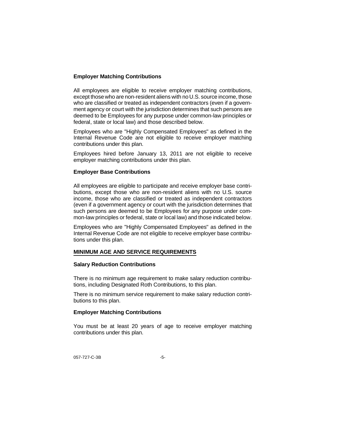#### **Employer Matching Contributions**

All employees are eligible to receive employer matching contributions, except those who are non-resident aliens with no U.S. source income, those who are classified or treated as independent contractors (even if a government agency or court with the jurisdiction determines that such persons are deemed to be Employees for any purpose under common-law principles or federal, state or local law) and those described below.

Employees who are "Highly Compensated Employees" as defined in the Internal Revenue Code are not eligible to receive employer matching contributions under this plan.

Employees hired before January 13, 2011 are not eligible to receive employer matching contributions under this plan.

#### **Employer Base Contributions**

All employees are eligible to participate and receive employer base contributions, except those who are non-resident aliens with no U.S. source income, those who are classified or treated as independent contractors (even if a government agency or court with the jurisdiction determines that such persons are deemed to be Employees for any purpose under common-law principles or federal, state or local law) and those indicated below.

Employees who are "Highly Compensated Employees" as defined in the Internal Revenue Code are not eligible to receive employer base contributions under this plan.

#### **MINIMUM AGE AND SERVICE REQUIREMENTS**

#### **Salary Reduction Contributions**

There is no minimum age requirement to make salary reduction contributions, including Designated Roth Contributions, to this plan.

There is no minimum service requirement to make salary reduction contributions to this plan.

#### **Employer Matching Contributions**

You must be at least 20 years of age to receive employer matching contributions under this plan.

057-727-C-3B -5-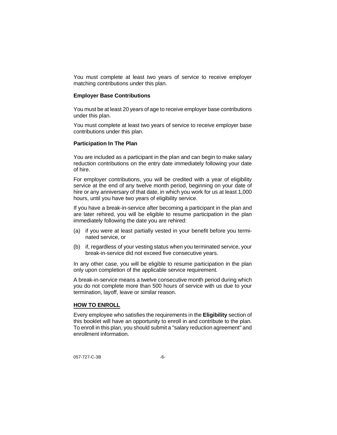You must complete at least two years of service to receive employer matching contributions under this plan.

#### **Employer Base Contributions**

You must be at least 20 years of age to receive employer base contributions under this plan.

You must complete at least two years of service to receive employer base contributions under this plan.

#### **Participation In The Plan**

You are included as a participant in the plan and can begin to make salary reduction contributions on the entry date immediately following your date of hire.

For employer contributions, you will be credited with a year of eligibility service at the end of any twelve month period, beginning on your date of hire or any anniversary of that date, in which you work for us at least 1,000 hours, until you have two years of eligibility service.

If you have a break-in-service after becoming a participant in the plan and are later rehired, you will be eligible to resume participation in the plan immediately following the date you are rehired:

- (a) if you were at least partially vested in your benefit before you terminated service, or
- (b) if, regardless of your vesting status when you terminated service, your break-in-service did not exceed five consecutive years.

In any other case, you will be eligible to resume participation in the plan only upon completion of the applicable service requirement.

A break-in-service means a twelve consecutive month period during which you do not complete more than 500 hours of service with us due to your termination, layoff, leave or similar reason.

# **HOW TO ENROLL**

Every employee who satisfies the requirements in the **Eligibility** section of this booklet will have an opportunity to enroll in and contribute to the plan. To enroll in this plan, you should submit a "salary reduction agreement" and enrollment information.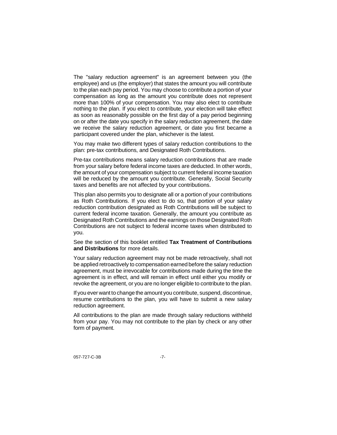The "salary reduction agreement" is an agreement between you (the employee) and us (the employer) that states the amount you will contribute to the plan each pay period. You may choose to contribute a portion of your compensation as long as the amount you contribute does not represent more than 100% of your compensation. You may also elect to contribute nothing to the plan. If you elect to contribute, your election will take effect as soon as reasonably possible on the first day of a pay period beginning on or after the date you specify in the salary reduction agreement, the date we receive the salary reduction agreement, or date you first became a participant covered under the plan, whichever is the latest.

You may make two different types of salary reduction contributions to the plan: pre-tax contributions, and Designated Roth Contributions.

Pre-tax contributions means salary reduction contributions that are made from your salary before federal income taxes are deducted. In other words, the amount of your compensation subject to current federal income taxation will be reduced by the amount you contribute. Generally, Social Security taxes and benefits are not affected by your contributions.

This plan also permits you to designate all or a portion of your contributions as Roth Contributions. If you elect to do so, that portion of your salary reduction contribution designated as Roth Contributions will be subject to current federal income taxation. Generally, the amount you contribute as Designated Roth Contributions and the earnings on those Designated Roth Contributions are not subject to federal income taxes when distributed to you.

See the section of this booklet entitled **Tax Treatment of Contributions and Distributions** for more details.

Your salary reduction agreement may not be made retroactively, shall not be applied retroactively to compensation earned before the salary reduction agreement, must be irrevocable for contributions made during the time the agreement is in effect, and will remain in effect until either you modify or revoke the agreement, or you are no longer eligible to contribute to the plan.

If you ever want to change the amount you contribute, suspend, discontinue, resume contributions to the plan, you will have to submit a new salary reduction agreement.

All contributions to the plan are made through salary reductions withheld from your pay. You may not contribute to the plan by check or any other form of payment.

057-727-C-3B -7-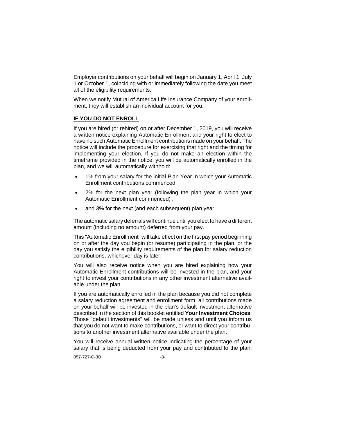Employer contributions on your behalf will begin on January 1, April 1, July 1 or October 1, coinciding with or immediately following the date you meet all of the eligibility requirements.

When we notify Mutual of America Life Insurance Company of your enrollment, they will establish an individual account for you.

# **IF YOU DO NOT ENROLL** IF YOU DO NOT ENROLL

If you are hired (or rehired) on or after December 1, 2019, you will receive a written notice explaining Automatic Enrollment and your right to elect to have no such Automatic Enrollment contributions made on your behalf. The notice will include the procedure for exercising that right and the timing for implementing your election. If you do not make an election within the timeframe provided in the notice, you will be automatically enrolled in the plan, and we will automatically withhold:

- 1% from your salary for the initial Plan Year in which your Automatic Enrollment contributions commenced;
- 2% for the next plan year (following the plan year in which your Automatic Enrollment commenced) ;
- and 3% for the next (and each subsequent) plan year.

The automatic salary deferrals will continue until you elect to have a different amount (including no amount) deferred from your pay.

This "Automatic Enrollment" will take effect on the first pay period beginning on or after the day you begin (or resume) participating in the plan, or the day you satisfy the eligibility requirements of the plan for salary reduction contributions, whichever day is later.

You will also receive notice when you are hired explaining how your Automatic Enrollment contributions will be invested in the plan, and your right to invest your contributions in any other investment alternative available under the plan.

If you are automatically enrolled in the plan because you did not complete a salary reduction agreement and enrollment form, all contributions made on your behalf will be invested in the plan's default investment alternative described in the section of this booklet entitled **Your Investment Choices**. Those "default investments" will be made unless and until you inform us that you do not want to make contributions, or want to direct your contributions to another investment alternative available under the plan.

You will receive annual written notice indicating the percentage of your salary that is being deducted from your pay and contributed to the plan.

057-727-C-3B -8-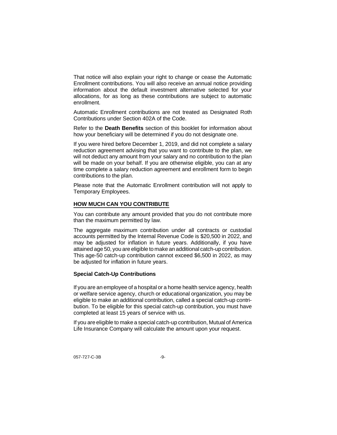That notice will also explain your right to change or cease the Automatic Enrollment contributions. You will also receive an annual notice providing information about the default investment alternative selected for your allocations, for as long as these contributions are subject to automatic enrollment.

Automatic Enrollment contributions are not treated as Designated Roth Contributions under Section 402A of the Code.

Refer to the **Death Benefits** section of this booklet for information about how your beneficiary will be determined if you do not designate one.

If you were hired before December 1, 2019, and did not complete a salary reduction agreement advising that you want to contribute to the plan, we will not deduct any amount from your salary and no contribution to the plan will be made on your behalf. If you are otherwise eligible, you can at any time complete a salary reduction agreement and enrollment form to begin contributions to the plan.

Please note that the Automatic Enrollment contribution will not apply to Temporary Employees.

#### **HOW MUCH CAN YOU CONTRIBUTE**

You can contribute any amount provided that you do not contribute more than the maximum permitted by law.

The aggregate maximum contribution under all contracts or custodial accounts permitted by the Internal Revenue Code is \$20,500 in 2022, and may be adjusted for inflation in future years. Additionally, if you have attained age 50, you are eligible to make an additional catch-up contribution. This age-50 catch-up contribution cannot exceed \$6,500 in 2022, as may be adjusted for inflation in future years.

#### **Special Catch-Up Contributions**

If you are an employee of a hospital or a home health service agency, health or welfare service agency, church or educational organization, you may be eligible to make an additional contribution, called a special catch-up contribution. To be eligible for this special catch-up contribution, you must have completed at least 15 years of service with us.

If you are eligible to make a special catch-up contribution, Mutual of America Life Insurance Company will calculate the amount upon your request.

057-727-C-3B -9-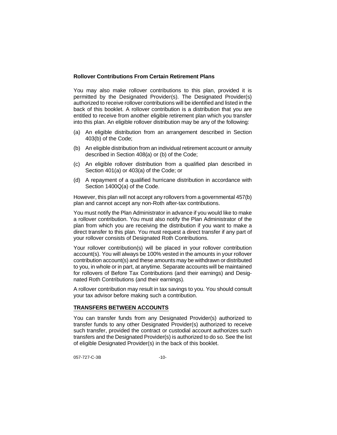#### **Rollover Contributions From Certain Retirement Plans**

You may also make rollover contributions to this plan, provided it is permitted by the Designated Provider(s). The Designated Provider(s) authorized to receive rollover contributions will be identified and listed in the back of this booklet. A rollover contribution is a distribution that you are entitled to receive from another eligible retirement plan which you transfer into this plan. An eligible rollover distribution may be any of the following:

- (a) An eligible distribution from an arrangement described in Section 403(b) of the Code;
- (b) An eligible distribution from an individual retirement account or annuity described in Section 408(a) or (b) of the Code;
- (c) An eligible rollover distribution from a qualified plan described in Section 401(a) or 403(a) of the Code; or
- (d) A repayment of a qualified hurricane distribution in accordance with Section 1400Q(a) of the Code.

However, this plan will not accept any rollovers from a governmental 457(b) plan and cannot accept any non-Roth after-tax contributions.

You must notify the Plan Administrator in advance if you would like to make a rollover contribution. You must also notify the Plan Administrator of the plan from which you are receiving the distribution if you want to make a direct transfer to this plan. You must request a direct transfer if any part of your rollover consists of Designated Roth Contributions.

Your rollover contribution(s) will be placed in your rollover contribution account(s). You will always be 100% vested in the amounts in your rollover contribution account(s) and these amounts may be withdrawn or distributed to you, in whole or in part, at anytime. Separate accounts will be maintained for rollovers of Before Tax Contributions (and their earnings) and Designated Roth Contributions (and their earnings).

A rollover contribution may result in tax savings to you. You should consult your tax advisor before making such a contribution.

#### **TRANSFERS BETWEEN ACCOUNTS**

You can transfer funds from any Designated Provider(s) authorized to transfer funds to any other Designated Provider(s) authorized to receive such transfer, provided the contract or custodial account authorizes such transfers and the Designated Provider(s) is authorized to do so. See the list of eligible Designated Provider(s) in the back of this booklet.

057-727-C-3B -10-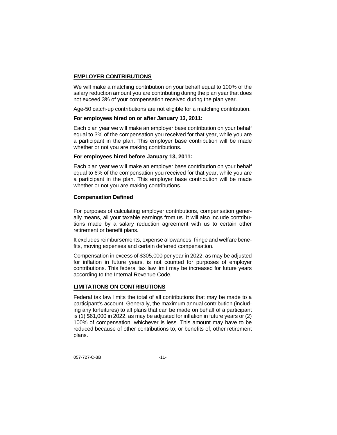# **EMPLOYER CONTRIBUTIONS** EMPLOYER CONTRIBUTIONS

We will make a matching contribution on your behalf equal to 100% of the salary reduction amount you are contributing during the plan year that does not exceed 3% of your compensation received during the plan year.

Age-50 catch-up contributions are not eligible for a matching contribution.

#### **For employees hired on or after January 13, 2011:**

Each plan year we will make an employer base contribution on your behalf equal to 3% of the compensation you received for that year, while you are a participant in the plan. This employer base contribution will be made whether or not you are making contributions.

#### **For employees hired before January 13, 2011:**

Each plan year we will make an employer base contribution on your behalf equal to 6% of the compensation you received for that year, while you are a participant in the plan. This employer base contribution will be made whether or not you are making contributions.

#### **Compensation Defined**

For purposes of calculating employer contributions, compensation generally means, all your taxable earnings from us. It will also include contributions made by a salary reduction agreement with us to certain other retirement or benefit plans.

It excludes reimbursements, expense allowances, fringe and welfare benefits, moving expenses and certain deferred compensation.

Compensation in excess of \$305,000 per year in 2022, as may be adjusted for inflation in future years, is not counted for purposes of employer contributions. This federal tax law limit may be increased for future years according to the Internal Revenue Code.

#### **LIMITATIONS ON CONTRIBUTIONS**

Federal tax law limits the total of all contributions that may be made to a participant's account. Generally, the maximum annual contribution (including any forfeitures) to all plans that can be made on behalf of a participant is (1) \$61,000 in 2022, as may be adjusted for inflation in future years or (2) 100% of compensation, whichever is less. This amount may have to be reduced because of other contributions to, or benefits of, other retirement plans.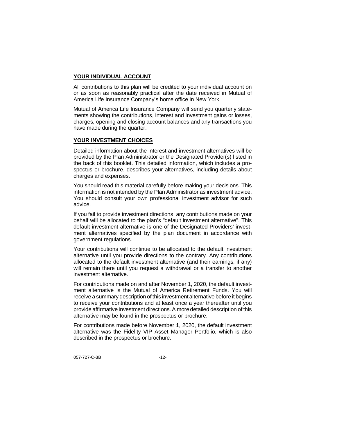#### **YOUR INDIVIDUAL ACCOUNT** YOUR INDIVIDUAL ACCOUNT

All contributions to this plan will be credited to your individual account on or as soon as reasonably practical after the date received in Mutual of America Life Insurance Company's home office in New York.

Mutual of America Life Insurance Company will send you quarterly statements showing the contributions, interest and investment gains or losses, charges, opening and closing account balances and any transactions you have made during the quarter.

#### YOUR INVESTMENT CHOICES

Detailed information about the interest and investment alternatives will be provided by the Plan Administrator or the Designated Provider(s) listed in the back of this booklet. This detailed information, which includes a prospectus or brochure, describes your alternatives, including details about charges and expenses.

You should read this material carefully before making your decisions. This information is not intended by the Plan Administrator as investment advice. You should consult your own professional investment advisor for such advice.

If you fail to provide investment directions, any contributions made on your behalf will be allocated to the plan's "default investment alternative". This default investment alternative is one of the Designated Providers' investment alternatives specified by the plan document in accordance with government regulations.

Your contributions will continue to be allocated to the default investment alternative until you provide directions to the contrary. Any contributions allocated to the default investment alternative (and their earnings, if any) will remain there until you request a withdrawal or a transfer to another investment alternative.

For contributions made on and after November 1, 2020, the default investment alternative is the Mutual of America Retirement Funds. You will receive a summary description of this investment alternative before it begins to receive your contributions and at least once a year thereafter until you provide affirmative investment directions. A more detailed description of this alternative may be found in the prospectus or brochure.

For contributions made before November 1, 2020, the default investment alternative was the Fidelity VIP Asset Manager Portfolio, which is also described in the prospectus or brochure.

057-727-C-3B -12-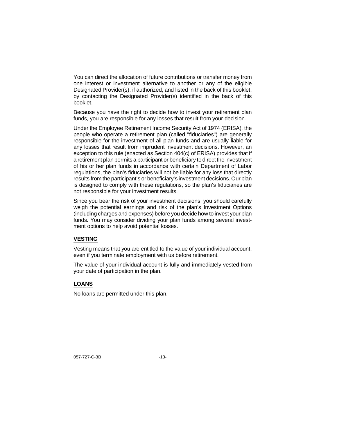You can direct the allocation of future contributions or transfer money from one interest or investment alternative to another or any of the eligible Designated Provider(s), if authorized, and listed in the back of this booklet, by contacting the Designated Provider(s) identified in the back of this booklet.

Because you have the right to decide how to invest your retirement plan funds, you are responsible for any losses that result from your decision.

Under the Employee Retirement Income Security Act of 1974 (ERISA), the people who operate a retirement plan (called "fiduciaries") are generally responsible for the investment of all plan funds and are usually liable for any losses that result from imprudent investment decisions. However, an exception to this rule (enacted as Section 404(c) of ERISA) provides that if a retirement plan permits a participant or beneficiary to direct the investment of his or her plan funds in accordance with certain Department of Labor regulations, the plan's fiduciaries will not be liable for any loss that directly results from the participant's or beneficiary's investment decisions. Our plan is designed to comply with these regulations, so the plan's fiduciaries are not responsible for your investment results.

Since you bear the risk of your investment decisions, you should carefully weigh the potential earnings and risk of the plan's Investment Options (including charges and expenses) before you decide how to invest your plan funds. You may consider dividing your plan funds among several investment options to help avoid potential losses.

# **VESTING** VESTING

Vesting means that you are entitled to the value of your individual account, even if you terminate employment with us before retirement.

The value of your individual account is fully and immediately vested from your date of participation in the plan.

### **LOANS** LOANS

No loans are permitted under this plan.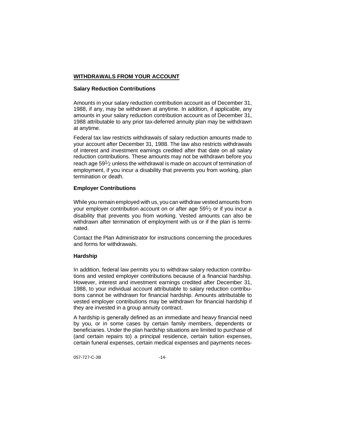#### **WITHDRAWALS FROM YOUR ACCOUNT**

#### **Salary Reduction Contributions**

Amounts in your salary reduction contribution account as of December 31, 1988, if any, may be withdrawn at anytime. In addition, if applicable, any amounts in your salary reduction contribution account as of December 31, 1988 attributable to any prior tax-deferred annuity plan may be withdrawn at anytime.

Federal tax law restricts withdrawals of salary reduction amounts made to your account after December 31, 1988. The law also restricts withdrawals of interest and investment earnings credited after that date on all salary reduction contributions. These amounts may not be withdrawn before you reach age 59 $\frac{1}{2}$  unless the withdrawal is made on account of termination of employment, if you incur a disability that prevents you from working, plan termination or death.

#### **Employer Contributions**

While you remain employed with us, you can withdraw vested amounts from your employer contribution account on or after age  $59\frac{1}{2}$  or if you incur a disability that prevents you from working. Vested amounts can also be withdrawn after termination of employment with us or if the plan is terminated.

Contact the Plan Administrator for instructions concerning the procedures and forms for withdrawals.

#### **Hardship**

In addition, federal law permits you to withdraw salary reduction contributions and vested employer contributions because of a financial hardship. However, interest and investment earnings credited after December 31, 1988, to your individual account attributable to salary reduction contributions cannot be withdrawn for financial hardship. Amounts attributable to vested employer contributions may be withdrawn for financial hardship if they are invested in a group annuity contract.

A hardship is generally defined as an immediate and heavy financial need by you, or in some cases by certain family members, dependents or beneficiaries. Under the plan hardship situations are limited to purchase of (and certain repairs to) a principal residence, certain tuition expenses, certain funeral expenses, certain medical expenses and payments neces-

057-727-C-3B -14-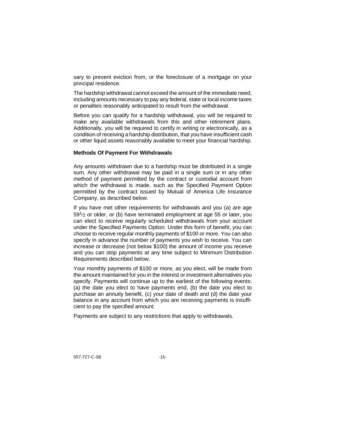sary to prevent eviction from, or the foreclosure of a mortgage on your principal residence.

The hardship withdrawal cannot exceed the amount of the immediate need, including amounts necessary to pay any federal, state or local income taxes or penalties reasonably anticipated to result from the withdrawal.

Before you can qualify for a hardship withdrawal, you will be required to make any available withdrawals from this and other retirement plans. Additionally, you will be required to certify in writing or electronically, as a condition of receiving a hardship distribution, that you have insufficient cash or other liquid assets reasonably available to meet your financial hardship.

#### **Methods Of Payment For Withdrawals**

Any amounts withdrawn due to a hardship must be distributed in a single sum. Any other withdrawal may be paid in a single sum or in any other method of payment permitted by the contract or custodial account from which the withdrawal is made, such as the Specified Payment Option permitted by the contract issued by Mutual of America Life Insurance Company, as described below.

If you have met other requirements for withdrawals and you (a) are age 591⁄2 or older, or (b) have terminated employment at age 55 or later, you can elect to receive regularly scheduled withdrawals from your account under the Specified Payments Option. Under this form of benefit, you can choose to receive regular monthly payments of \$100 or more. You can also specify in advance the number of payments you wish to receive. You can increase or decrease (not below \$100) the amount of income you receive and you can stop payments at any time subject to Minimum Distribution Requirements described below.

Your monthly payments of \$100 or more, as you elect, will be made from the amount maintained for you in the interest or investment alternatives you specify. Payments will continue up to the earliest of the following events: (a) the date you elect to have payments end, (b) the date you elect to purchase an annuity benefit, (c) your date of death and (d) the date your balance in any account from which you are receiving payments is insufficient to pay the specified amount.

Payments are subject to any restrictions that apply to withdrawals.

057-727-C-3B -15-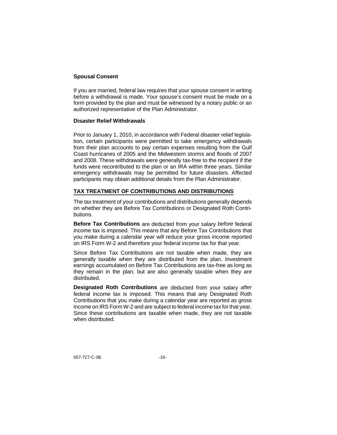#### **Spousal Consent**

If you are married, federal law requires that your spouse consent in writing before a withdrawal is made. Your spouse's consent must be made on a form provided by the plan and must be witnessed by a notary public or an authorized representative of the Plan Administrator.

# **Disaster Relief Withdrawals**

Prior to January 1, 2010, in accordance with Federal disaster relief legislation, certain participants were permitted to take emergency withdrawals from their plan accounts to pay certain expenses resulting from the Gulf Coast hurricanes of 2005 and the Midwestern storms and floods of 2007 and 2008. These withdrawals were generally tax-free to the recipient if the funds were recontributed to the plan or an IRA within three years. Similar emergency withdrawals may be permitted for future disasters. Affected participants may obtain additional details from the Plan Administrator.

#### **TAX TREATMENT OF CONTRIBUTIONS AND DISTRIBUTIONS**

The tax treatment of your contributions and distributions generally depends on whether they are Before Tax Contributions or Designated Roth Contributions.

**Before Tax Contributions** are deducted from your salary *before* federal income tax is imposed. This means that any Before Tax Contributions that you make during a calendar year will reduce your gross income reported on IRS Form W-2 and therefore your federal income tax for that year.

Since Before Tax Contributions are not taxable when made, they are generally taxable when they are distributed from the plan. Investment earnings accumulated on Before Tax Contributions are tax-free as long as they remain in the plan, but are also generally taxable when they are distributed.

**Designated Roth Contributions** are deducted from your salary *after* federal income tax is imposed. This means that any Designated Roth Contributions that you make during a calendar year are reported as gross income on IRS Form W-2 and are subject to federal income tax for that year. Since these contributions are taxable when made, they are not taxable when distributed.

057-727-C-3B -16-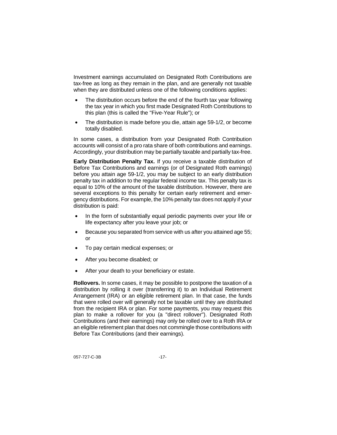Investment earnings accumulated on Designated Roth Contributions are tax-free as long as they remain in the plan, and are generally not taxable when they are distributed unless one of the following conditions applies:

- The distribution occurs before the end of the fourth tax year following the tax year in which you first made Designated Roth Contributions to this plan (this is called the "Five-Year Rule"); or
- The distribution is made before you die, attain age 59-1/2, or become totally disabled.

In some cases, a distribution from your Designated Roth Contribution accounts will consist of a pro rata share of both contributions and earnings. Accordingly, your distribution may be partially taxable and partially tax-free.

**Early Distribution Penalty Tax.** If you receive a taxable distribution of Before Tax Contributions and earnings (or of Designated Roth earnings) before you attain age 59-1/2, you may be subject to an early distribution penalty tax in addition to the regular federal income tax. This penalty tax is equal to 10% of the amount of the taxable distribution. However, there are several exceptions to this penalty for certain early retirement and emergency distributions. For example, the 10% penalty tax does not apply if your distribution is paid:

- In the form of substantially equal periodic payments over your life or life expectancy after you leave your job; or
- Because you separated from service with us after you attained age 55; or
- To pay certain medical expenses; or
- After you become disabled; or
- After your death to your beneficiary or estate.

**Rollovers.** In some cases, it may be possible to postpone the taxation of a distribution by rolling it over (transferring it) to an Individual Retirement Arrangement (IRA) or an eligible retirement plan. In that case, the funds that were rolled over will generally not be taxable until they are distributed from the recipient IRA or plan. For some payments, you may request this plan to make a rollover for you (a "direct rollover"). Designated Roth Contributions (and their earnings) may only be rolled over to a Roth IRA or an eligible retirement plan that does not commingle those contributions with Before Tax Contributions (and their earnings).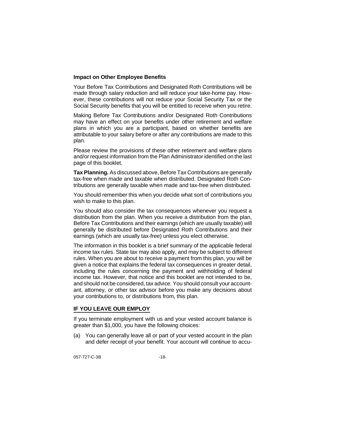#### **Impact on Other Employee Benefits**

Your Before Tax Contributions and Designated Roth Contributions will be made through salary reduction and will reduce your take-home pay. However, these contributions will not reduce your Social Security Tax or the Social Security benefits that you will be entitled to receive when you retire.

Making Before Tax Contributions and/or Designated Roth Contributions may have an effect on your benefits under other retirement and welfare plans in which you are a participant, based on whether benefits are attributable to your salary before or after any contributions are made to this plan.

Please review the provisions of these other retirement and welfare plans and/or request information from the Plan Administrator identified on the last page of this booklet.

**Tax Planning.** As discussed above, Before Tax Contributions are generally tax-free when made and taxable when distributed. Designated Roth Contributions are generally taxable when made and tax-free when distributed.

You should remember this when you decide what sort of contributions you wish to make to this plan.

You should also consider the tax consequences whenever you request a distribution from the plan. When you receive a distribution from the plan, Before Tax Contributions and their earnings (which are usually taxable) will generally be distributed before Designated Roth Contributions and their earnings (which are usually tax-free) unless you elect otherwise.

The information in this booklet is a brief summary of the applicable federal income tax rules. State tax may also apply, and may be subject to different rules. When you are about to receive a payment from this plan, you will be given a notice that explains the federal tax consequences in greater detail, including the rules concerning the payment and withholding of federal income tax. However, that notice and this booklet are not intended to be, and should not be considered, tax advice. You should consult your accountant, attorney, or other tax advisor before you make any decisions about your contributions to, or distributions from, this plan.

#### **IF YOU LEAVE OUR EMPLOY**

If you terminate employment with us and your vested account balance is greater than \$1,000, you have the following choices:

(a) You can generally leave all or part of your vested account in the plan and defer receipt of your benefit. Your account will continue to accu-

057-727-C-3B -18-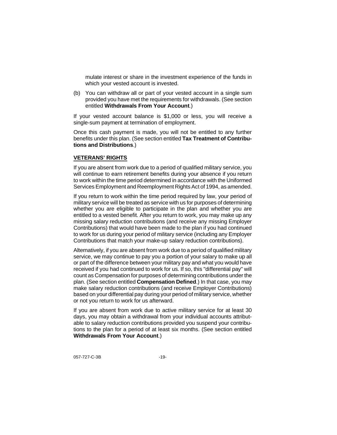mulate interest or share in the investment experience of the funds in which your vested account is invested.

(b) You can withdraw all or part of your vested account in a single sum provided you have met the requirements for withdrawals. (See section entitled **Withdrawals From Your Account**.)

If your vested account balance is \$1,000 or less, you will receive a single-sum payment at termination of employment.

Once this cash payment is made, you will not be entitled to any further benefits under this plan. (See section entitled **Tax Treatment of Contributions and Distributions**.)

# **VETERANS' RIGHTS**

If you are absent from work due to a period of qualified military service, you will continue to earn retirement benefits during your absence if you return to work within the time period determined in accordance with the Uniformed Services Employment and Reemployment Rights Act of 1994, as amended.

If you return to work within the time period required by law, your period of military service will be treated as service with us for purposes of determining whether you are eligible to participate in the plan and whether you are entitled to a vested benefit. After you return to work, you may make up any missing salary reduction contributions (and receive any missing Employer Contributions) that would have been made to the plan if you had continued to work for us during your period of military service (including any Employer Contributions that match your make-up salary reduction contributions).

Alternatively, if you are absent from work due to a period of qualified military service, we may continue to pay you a portion of your salary to make up all or part of the difference between your military pay and what you would have received if you had continued to work for us. If so, this "differential pay" will count as Compensation for purposes of determining contributions under the plan. (See section entitled **Compensation Defined**.) In that case, you may make salary reduction contributions (and receive Employer Contributions) based on your differential pay during your period of military service, whether or not you return to work for us afterward.

If you are absent from work due to active military service for at least 30 days, you may obtain a withdrawal from your individual accounts attributable to salary reduction contributions provided you suspend your contributions to the plan for a period of at least six months. (See section entitled **Withdrawals From Your Account**.)

057-727-C-3B -19-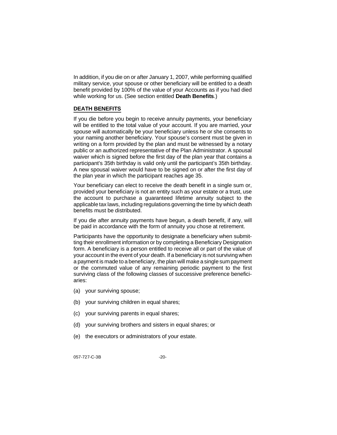In addition, if you die on or after January 1, 2007, while performing qualified military service, your spouse or other beneficiary will be entitled to a death benefit provided by 100% of the value of your Accounts as if you had died while working for us. (See section entitled **Death Benefits**.)

# **DEATH BENEFITS**

If you die before you begin to receive annuity payments, your beneficiary will be entitled to the total value of your account. If you are married, your spouse will automatically be your beneficiary unless he or she consents to your naming another beneficiary. Your spouse's consent must be given in writing on a form provided by the plan and must be witnessed by a notary public or an authorized representative of the Plan Administrator. A spousal waiver which is signed before the first day of the plan year that contains a participant's 35th birthday is valid only until the participant's 35th birthday. A new spousal waiver would have to be signed on or after the first day of the plan year in which the participant reaches age 35.

Your beneficiary can elect to receive the death benefit in a single sum or, provided your beneficiary is not an entity such as your estate or a trust, use the account to purchase a guaranteed lifetime annuity subject to the applicable tax laws, including regulations governing the time by which death benefits must be distributed.

If you die after annuity payments have begun, a death benefit, if any, will be paid in accordance with the form of annuity you chose at retirement.

Participants have the opportunity to designate a beneficiary when submitting their enrollment information or by completing a Beneficiary Designation form. A beneficiary is a person entitled to receive all or part of the value of your account in the event of your death. If a beneficiary is not surviving when a payment is made to a beneficiary, the plan will make a single sum payment or the commuted value of any remaining periodic payment to the first surviving class of the following classes of successive preference beneficiaries:

- (a) your surviving spouse;
- (b) your surviving children in equal shares;
- (c) your surviving parents in equal shares;
- (d) your surviving brothers and sisters in equal shares; or
- (e) the executors or administrators of your estate.

057-727-C-3B -20-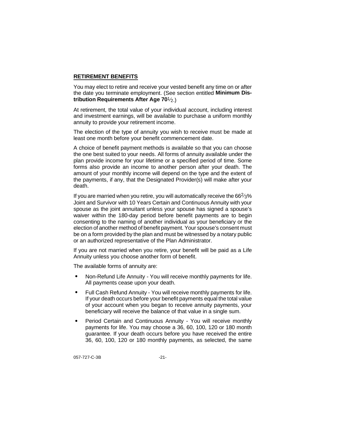#### **RETIREMENT BENEFITS**

You may elect to retire and receive your vested benefit any time on or after the date you terminate employment. (See section entitled **Minimum Distribution Requirements After Age 70**1⁄2.)

At retirement, the total value of your individual account, including interest and investment earnings, will be available to purchase a uniform monthly annuity to provide your retirement income.

The election of the type of annuity you wish to receive must be made at least one month before your benefit commencement date.

A choice of benefit payment methods is available so that you can choose the one best suited to your needs. All forms of annuity available under the plan provide income for your lifetime or a specified period of time. Some forms also provide an income to another person after your death. The amount of your monthly income will depend on the type and the extent of the payments, if any, that the Designated Provider(s) will make after your death.

If you are married when you retire, you will automatically receive the  $66\frac{2}{3}\%$ Joint and Survivor with 10 Years Certain and Continuous Annuity with your spouse as the joint annuitant unless your spouse has signed a spouse's waiver within the 180-day period before benefit payments are to begin consenting to the naming of another individual as your beneficiary or the election of another method of benefit payment. Your spouse's consent must be on a form provided by the plan and must be witnessed by a notary public or an authorized representative of the Plan Administrator.

If you are not married when you retire, your benefit will be paid as a Life Annuity unless you choose another form of benefit.

The available forms of annuity are:

- Non-Refund Life Annuity You will receive monthly payments for life. All payments cease upon your death.
- Full Cash Refund Annuity You will receive monthly payments for life. If your death occurs before your benefit payments equal the total value of your account when you began to receive annuity payments, your beneficiary will receive the balance of that value in a single sum.
- Period Certain and Continuous Annuity You will receive monthly payments for life. You may choose a 36, 60, 100, 120 or 180 month guarantee. If your death occurs before you have received the entire 36, 60, 100, 120 or 180 monthly payments, as selected, the same

057-727-C-3B -21-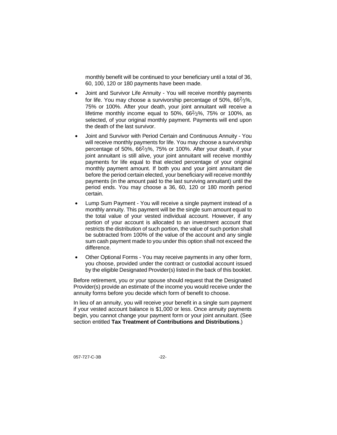monthly benefit will be continued to your beneficiary until a total of 36, 60, 100, 120 or 180 payments have been made.

- Joint and Survivor Life Annuity You will receive monthly payments for life. You may choose a survivorship percentage of 50%, 66<sup>2</sup>/<sub>3</sub>%, 75% or 100%. After your death, your joint annuitant will receive a lifetime monthly income equal to 50%,  $66\frac{2}{3}\%$ , 75% or 100%, as selected, of your original monthly payment. Payments will end upon the death of the last survivor.
- Joint and Survivor with Period Certain and Continuous Annuity You will receive monthly payments for life. You may choose a survivorship percentage of 50%, 662⁄3%, 75% or 100%. After your death, if your joint annuitant is still alive, your joint annuitant will receive monthly payments for life equal to that elected percentage of your original monthly payment amount. If both you and your joint annuitant die before the period certain elected, your beneficiary will receive monthly payments (in the amount paid to the last surviving annuitant) until the period ends. You may choose a 36, 60, 120 or 180 month period certain.
- Lump Sum Payment You will receive a single payment instead of a monthly annuity. This payment will be the single sum amount equal to the total value of your vested individual account. However, if any portion of your account is allocated to an investment account that restricts the distribution of such portion, the value of such portion shall be subtracted from 100% of the value of the account and any single sum cash payment made to you under this option shall not exceed the difference.
- Other Optional Forms You may receive payments in any other form, you choose, provided under the contract or custodial account issued by the eligible Designated Provider(s) listed in the back of this booklet.

Before retirement, you or your spouse should request that the Designated Provider(s) provide an estimate of the income you would receive under the annuity forms before you decide which form of benefit to choose.

In lieu of an annuity, you will receive your benefit in a single sum payment if your vested account balance is \$1,000 or less. Once annuity payments begin, you cannot change your payment form or your joint annuitant. (See section entitled **Tax Treatment of Contributions and Distributions**.)

057-727-C-3B -22-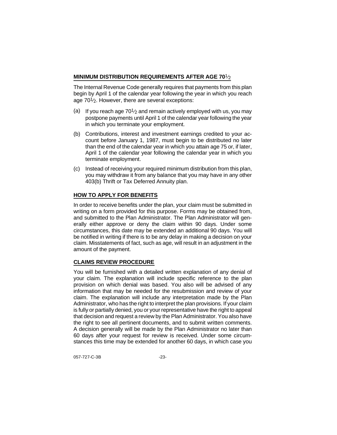#### **MINIMUM DISTRIBUTION REQUIREMENTS AFTER AGE 70**1⁄<sup>2</sup>

The Internal Revenue Code generally requires that payments from this plan begin by April 1 of the calendar year following the year in which you reach age 70<sup>1</sup>/<sub>2</sub>. However, there are several exceptions:

- (a) If you reach age  $70\frac{1}{2}$  and remain actively employed with us, you may postpone payments until April 1 of the calendar year following the year in which you terminate your employment.
- (b) Contributions, interest and investment earnings credited to your account before January 1, 1987, must begin to be distributed no later than the end of the calendar year in which you attain age 75 or, if later, April 1 of the calendar year following the calendar year in which you terminate employment.
- (c) Instead of receiving your required minimum distribution from this plan, you may withdraw it from any balance that you may have in any other 403(b) Thrift or Tax Deferred Annuity plan.

# **HOW TO APPLY FOR BENEFITS**

In order to receive benefits under the plan, your claim must be submitted in writing on a form provided for this purpose. Forms may be obtained from, and submitted to the Plan Administrator. The Plan Administrator will generally either approve or deny the claim within 90 days. Under some circumstances, this date may be extended an additional 90 days. You will be notified in writing if there is to be any delay in making a decision on your claim. Misstatements of fact, such as age, will result in an adjustment in the amount of the payment.

#### **CLAIMS REVIEW PROCEDURE**

You will be furnished with a detailed written explanation of any denial of your claim. The explanation will include specific reference to the plan provision on which denial was based. You also will be advised of any information that may be needed for the resubmission and review of your claim. The explanation will include any interpretation made by the Plan Administrator, who has the right to interpret the plan provisions. If your claim is fully or partially denied, you or your representative have the right to appeal that decision and request a review by the Plan Administrator. You also have the right to see all pertinent documents, and to submit written comments. A decision generally will be made by the Plan Administrator no later than 60 days after your request for review is received. Under some circumstances this time may be extended for another 60 days, in which case you

057-727-C-3B -23-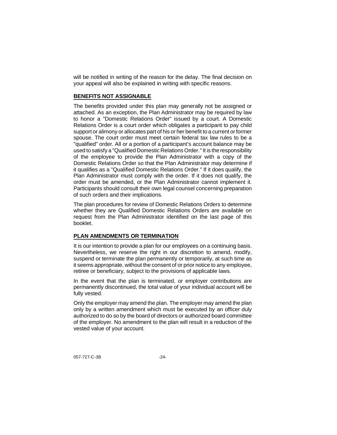will be notified in writing of the reason for the delay. The final decision on your appeal will also be explained in writing with specific reasons.

#### **BENEFITS NOT ASSIGNABLE**

The benefits provided under this plan may generally not be assigned or attached. As an exception, the Plan Administrator may be required by law to honor a "Domestic Relations Order" issued by a court. A Domestic Relations Order is a court order which obligates a participant to pay child support or alimony or allocates part of his or her benefit to a current or former spouse. The court order must meet certain federal tax law rules to be a "qualified" order. All or a portion of a participant's account balance may be used to satisfy a "Qualified Domestic Relations Order." It is the responsibility of the employee to provide the Plan Administrator with a copy of the Domestic Relations Order so that the Plan Administrator may determine if it qualifies as a "Qualified Domestic Relations Order." If it does qualify, the Plan Administrator must comply with the order. If it does not qualify, the order must be amended, or the Plan Administrator cannot implement it. Participants should consult their own legal counsel concerning preparation of such orders and their implications.

The plan procedures for review of Domestic Relations Orders to determine whether they are Qualified Domestic Relations Orders are available on request from the Plan Administrator identified on the last page of this booklet.

#### **PLAN AMENDMENTS OR TERMINATION**

It is our intention to provide a plan for our employees on a continuing basis. Nevertheless, we reserve the right in our discretion to amend, modify, suspend or terminate the plan permanently or temporarily, at such time as it seems appropriate, without the consent of or prior notice to any employee, retiree or beneficiary, subject to the provisions of applicable laws.

In the event that the plan is terminated, or employer contributions are permanently discontinued, the total value of your individual account will be fully vested.

Only the employer may amend the plan. The employer may amend the plan only by a written amendment which must be executed by an officer duly authorized to do so by the board of directors or authorized board committee of the employer. No amendment to the plan will result in a reduction of the vested value of your account.

057-727-C-3B -24-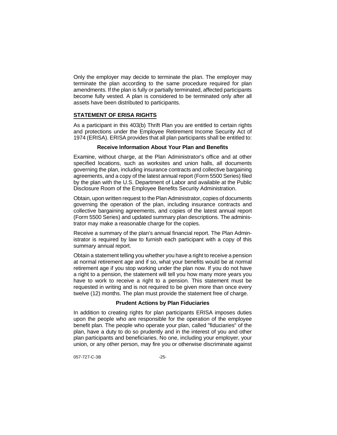Only the employer may decide to terminate the plan. The employer may terminate the plan according to the same procedure required for plan amendments. If the plan is fully or partially terminated, affected participants become fully vested. A plan is considered to be terminated only after all assets have been distributed to participants.

# **STATEMENT OF ERISA RIGHTS**

As a participant in this 403(b) Thrift Plan you are entitled to certain rights and protections under the Employee Retirement Income Security Act of 1974 (ERISA). ERISA provides that all plan participants shall be entitled to:

#### **Receive Information About Your Plan and Benefits**

Examine, without charge, at the Plan Administrator's office and at other specified locations, such as worksites and union halls, all documents governing the plan, including insurance contracts and collective bargaining agreements, and a copy of the latest annual report (Form 5500 Series) filed by the plan with the U.S. Department of Labor and available at the Public Disclosure Room of the Employee Benefits Security Administration.

Obtain, upon written request to the Plan Administrator, copies of documents governing the operation of the plan, including insurance contracts and collective bargaining agreements, and copies of the latest annual report (Form 5500 Series) and updated summary plan descriptions. The administrator may make a reasonable charge for the copies.

Receive a summary of the plan's annual financial report. The Plan Administrator is required by law to furnish each participant with a copy of this summary annual report.

Obtain a statement telling you whether you have a right to receive a pension at normal retirement age and if so, what your benefits would be at normal retirement age if you stop working under the plan now. If you do not have a right to a pension, the statement will tell you how many more years you have to work to receive a right to a pension. This statement must be requested in writing and is not required to be given more than once every twelve (12) months. The plan must provide the statement free of charge.

#### **Prudent Actions by Plan Fiduciaries**

In addition to creating rights for plan participants ERISA imposes duties upon the people who are responsible for the operation of the employee benefit plan. The people who operate your plan, called "fiduciaries" of the plan, have a duty to do so prudently and in the interest of you and other plan participants and beneficiaries. No one, including your employer, your union, or any other person, may fire you or otherwise discriminate against

057-727-C-3B -25-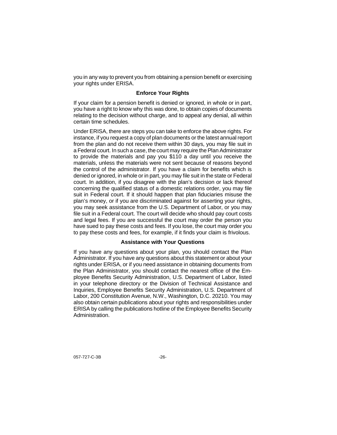you in any way to prevent you from obtaining a pension benefit or exercising your rights under ERISA.

#### **Enforce Your Rights**

If your claim for a pension benefit is denied or ignored, in whole or in part, you have a right to know why this was done, to obtain copies of documents relating to the decision without charge, and to appeal any denial, all within certain time schedules.

Under ERISA, there are steps you can take to enforce the above rights. For instance, if you request a copy of plan documents or the latest annual report from the plan and do not receive them within 30 days, you may file suit in a Federal court. In such a case, the court may require the Plan Administrator to provide the materials and pay you \$110 a day until you receive the materials, unless the materials were not sent because of reasons beyond the control of the administrator. If you have a claim for benefits which is denied or ignored, in whole or in part, you may file suit in the state or Federal court. In addition, if you disagree with the plan's decision or lack thereof concerning the qualified status of a domestic relations order, you may file suit in Federal court. If it should happen that plan fiduciaries misuse the plan's money, or if you are discriminated against for asserting your rights, you may seek assistance from the U.S. Department of Labor, or you may file suit in a Federal court. The court will decide who should pay court costs and legal fees. If you are successful the court may order the person you have sued to pay these costs and fees. If you lose, the court may order you to pay these costs and fees, for example, if it finds your claim is frivolous.

#### **Assistance with Your Questions**

If you have any questions about your plan, you should contact the Plan Administrator. If you have any questions about this statement or about your rights under ERISA, or if you need assistance in obtaining documents from the Plan Administrator, you should contact the nearest office of the Employee Benefits Security Administration, U.S. Department of Labor, listed in your telephone directory or the Division of Technical Assistance and Inquiries, Employee Benefits Security Administration, U.S. Department of Labor, 200 Constitution Avenue, N.W., Washington, D.C. 20210. You may also obtain certain publications about your rights and responsibilities under ERISA by calling the publications hotline of the Employee Benefits Security Administration.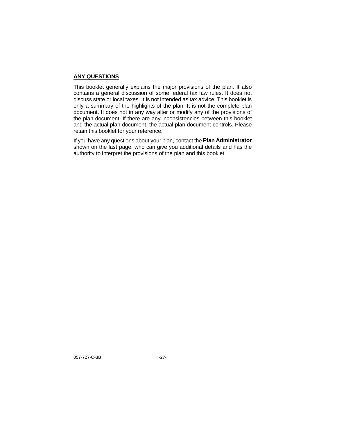#### **ANY QUESTIONS** ANY QUESTIONS

This booklet generally explains the major provisions of the plan. It also contains a general discussion of some federal tax law rules. It does not discuss state or local taxes. It is not intended as tax advice. This booklet is only a summary of the highlights of the plan. It is not the complete plan document. It does not in any way alter or modify any of the provisions of the plan document. If there are any inconsistencies between this booklet and the actual plan document, the actual plan document controls. Please retain this booklet for your reference.

If you have any questions about your plan, contact the **Plan Administrator** shown on the last page, who can give you additional details and has the authority to interpret the provisions of the plan and this booklet.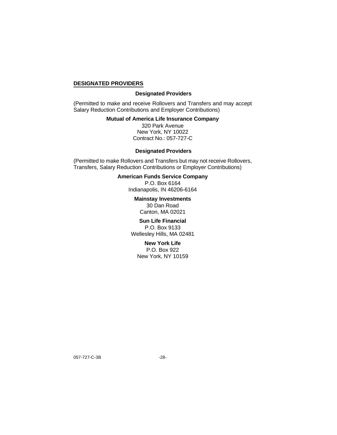#### **DESIGNATED PROVIDERS**

# **Designated Providers**

(Permitted to make and receive Rollovers and Transfers and may accept Salary Reduction Contributions and Employer Contributions)

#### **Mutual of America Life Insurance Company**

320 Park Avenue New York, NY 10022 Contract No.: 057-727-C

# **Designated Providers**

(Permitted to make Rollovers and Transfers but may not receive Rollovers, Transfers, Salary Reduction Contributions or Employer Contributions)

# **American Funds Service Company**

P.O. Box 6164 Indianapolis, IN 46206-6164

# **Mainstay Investments**

30 Dan Road Canton, MA 02021

# **Sun Life Financial**

P.O. Box 9133 Wellesley Hills, MA 02481

# **New York Life**

P.O. Box 922 New York, NY 10159